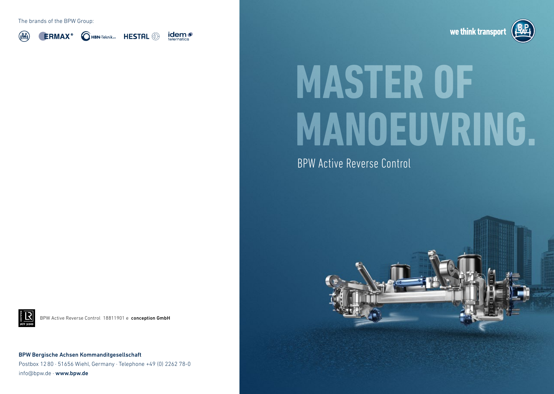The brands of the BPW Group:



**QHBN-Teknik<sub>ws</sub>** HESTAL <sup>2</sup> **ERMAX**<sup>®</sup>





## **MASTER OF MANOEUVRING.**

BPW Active Reverse Control



BPW Active Reverse Control 18811901 e conception GmbH

BPW Bergische Achsen Kommanditgesellschaft Postbox 1280 · 51656 Wiehl, Germany · Telephone +49 (0) 2262 78-0 info@bpw.de · www.bpw.de